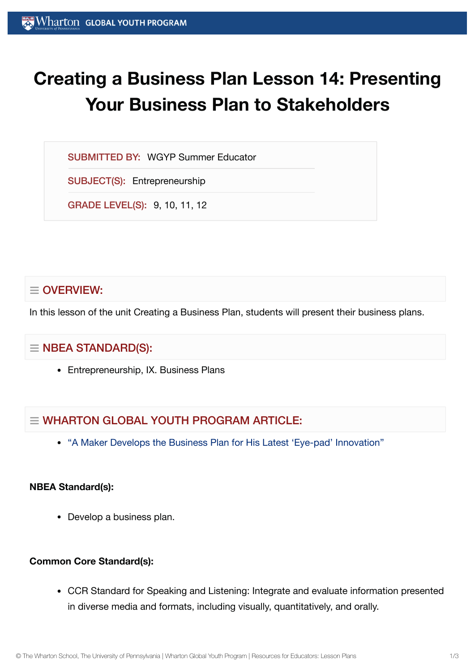# **Creating a Business Plan Lesson 14: Presenting Your Business Plan to Stakeholders**

SUBMITTED BY: WGYP Summer Educator

SUBJECT(S): Entrepreneurship

GRADE LEVEL(S): 9, 10, 11, 12

## $\equiv$  OVERVIEW:

In this lesson of the unit Creating a Business Plan, students will present their business plans.

## $\equiv$  NBEA STANDARD(S):

Entrepreneurship, IX. Business Plans

# $\equiv$  WHARTON GLOBAL YOUTH PROGRAM ARTICLE:

"A Maker Develops the [Business Plan](https://globalyouth.wharton.upenn.edu/articles/young-maker-develops-business-plan-latest-eye-pad-innovation/) for His Latest 'Eye-pad' Innovation"

### **NBEA Standard(s):**

• Develop a business plan.

## **Common Core Standard(s):**

CCR Standard for Speaking and Listening: Integrate and evaluate information presented in diverse media and formats, including visually, quantitatively, and orally.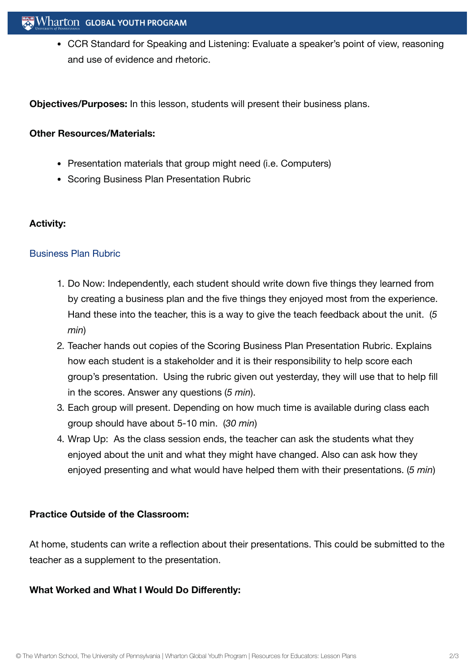CCR Standard for Speaking and Listening: Evaluate a speaker's point of view, reasoning and use of evidence and rhetoric.

**Objectives/Purposes:** In this lesson, students will present their business plans.

#### **Other Resources/Materials:**

- Presentation materials that group might need (i.e. Computers)
- Scoring Business Plan Presentation Rubric

#### **Activity:**

#### [Business Plan](https://globalyouth.wharton.upenn.edu/wp-content/uploads/2012/02/Entrepreneurship14_BusinessPlanRubric.doc) Rubric

- 1. Do Now: Independently, each student should write down five things they learned from by creating a business plan and the five things they enjoyed most from the experience. Hand these into the teacher, this is a way to give the teach feedback about the unit. (*5 min*)
- 2. Teacher hands out copies of the Scoring Business Plan Presentation Rubric. Explains how each student is a stakeholder and it is their responsibility to help score each group's presentation. Using the rubric given out yesterday, they will use that to help fill in the scores. Answer any questions (*5 min*).
- 3. Each group will present. Depending on how much time is available during class each group should have about 5-10 min. (*30 min*)
- 4. Wrap Up: As the class session ends, the teacher can ask the students what they enjoyed about the unit and what they might have changed. Also can ask how they enjoyed presenting and what would have helped them with their presentations. (*5 min*)

#### **Practice Outside of the Classroom:**

At home, students can write a reflection about their presentations. This could be submitted to the teacher as a supplement to the presentation.

#### **What Worked and What I Would Do Differently:**